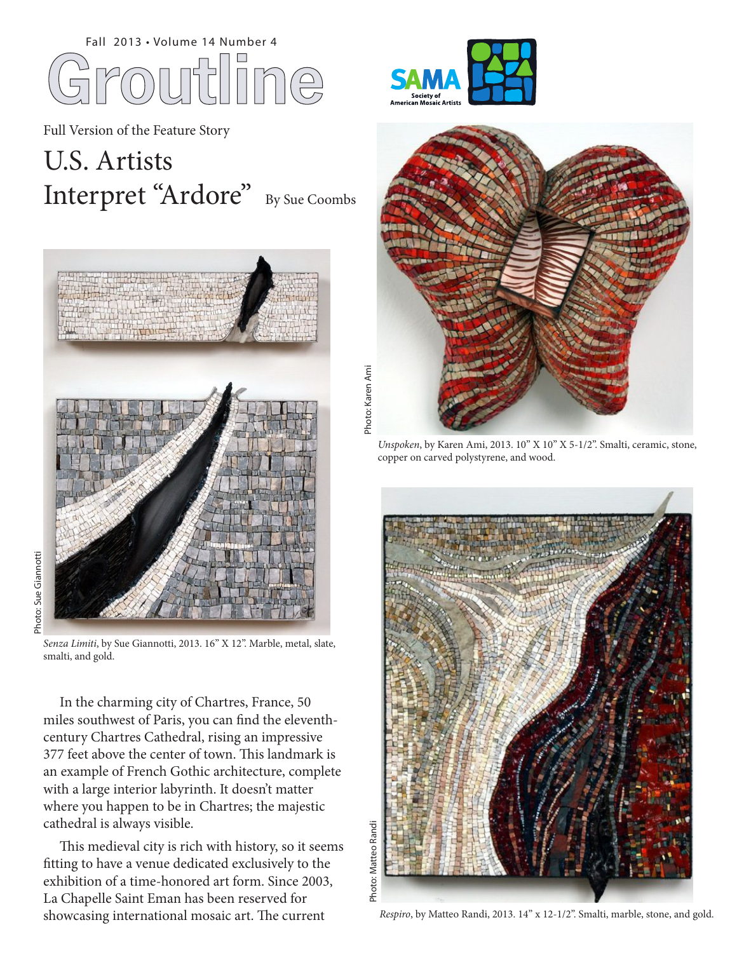

Full Version of the Feature Story

## U.S. Artists Interpret "Ardore" By Sue Coombs





*Senza Limiti*, by Sue Giannotti, 2013. 16" X 12". Marble, metal, slate, smalti, and gold.

 In the charming city of Chartres, France, 50 miles southwest of Paris, you can find the eleventhcentury Chartres Cathedral, rising an impressive 377 feet above the center of town. This landmark is an example of French Gothic architecture, complete with a large interior labyrinth. It doesn't matter where you happen to be in Chartres; the majestic cathedral is always visible.

 This medieval city is rich with history, so it seems fitting to have a venue dedicated exclusively to the exhibition of a time-honored art form. Since 2003, La Chapelle Saint Eman has been reserved for showcasing international mosaic art. The current





*Unspoken*, by Karen Ami, 2013. 10" X 10" X 5-1/2". Smalti, ceramic, stone, copper on carved polystyrene, and wood.



*Respiro*, by Matteo Randi, 2013. 14" x 12-1/2". Smalti, marble, stone, and gold.